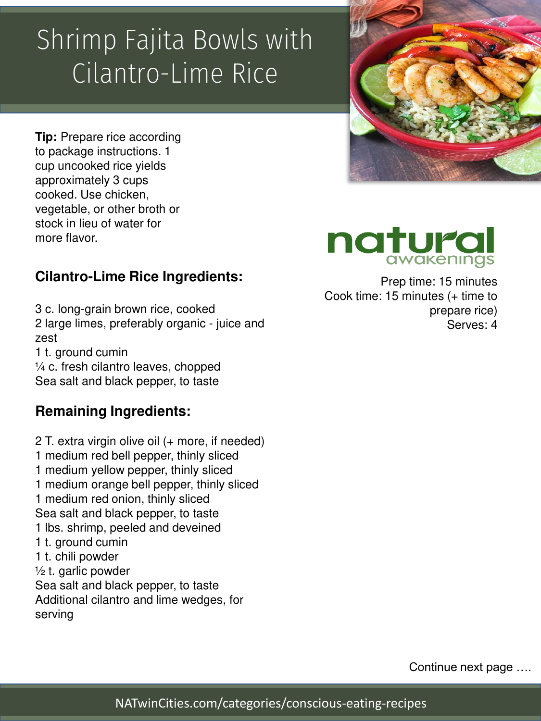### Shrimp Fajita Bowls with Cilantro-Lime Rice

**Tip:** Prepare rice according to package instructions. 1 cup uncooked rice yields approximately 3 cups cooked. Use chicken, vegetable, or other broth or stock in lieu of water for more flavor.

### **Cilantro-Lime Rice Ingredients:**

3 c. long-grain brown rice, cooked 2 large limes, preferably organic - juice and zest 1 t. ground cumin ¼ c. fresh cilantro leaves, chopped

Sea salt and black pepper, to taste

#### **Remaining Ingredients:**

2 T. extra virgin olive oil (+ more, if needed) 1 medium red bell pepper, thinly sliced 1 medium yellow pepper, thinly sliced 1 medium orange bell pepper, thinly sliced 1 medium red onion, thinly sliced Sea salt and black pepper, to taste 1 lbs. shrimp, peeled and deveined 1 t. ground cumin 1 t. chili powder  $\frac{1}{2}$  t. garlic powder Sea salt and black pepper, to taste Additional cilantro and lime wedges, for serving



# natura

Prep time: 15 minutes Cook time: 15 minutes (+ time to prepare rice) Serves: 4

Continue next page ….